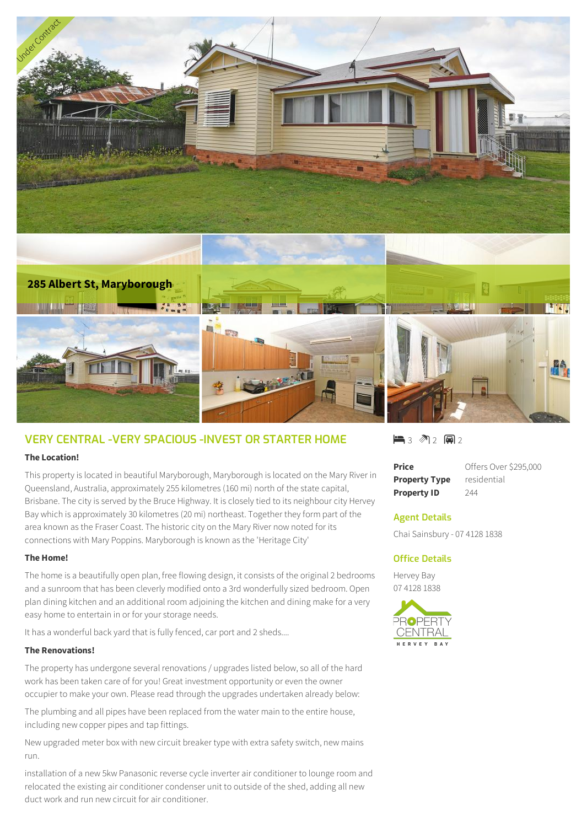



# **VERY CENTRAL -VERY SPACIOUS -INVEST OR STARTER HOME**

### **The Location!**

This property is located in beautiful Maryborough, Maryborough is located on the Mary River in Queensland, Australia, approximately 255 kilometres (160 mi) north of the state capital, Brisbane. The city is served by the Bruce Highway. It is closely tied to its neighbour city Hervey Bay which is approximately 30 kilometres (20 mi) northeast. Together they form part of the area known as the Fraser Coast. The historic city on the Mary River now noted for its connections with Mary Poppins. Maryborough is known as the 'Heritage City'

### **The Home!**

The home is a beautifully open plan, free flowing design, it consists of the original 2 bedrooms and a sunroom that has been cleverly modified onto a 3rd wonderfully sized bedroom. Open plan dining kitchen and an additional room adjoining the kitchen and dining make for a very easy home to entertain in or for your storage needs.

It has a wonderful back yard that is fully fenced, car port and 2 sheds....

### **The Renovations!**

The property has undergone several renovations / upgrades listed below, so all of the hard work has been taken care of for you! Great investment opportunity or even the owner occupier to make your own. Please read through the upgrades undertaken already below:

The plumbing and all pipes have been replaced from the water main to the entire house, including new copper pipes and tap fittings.

New upgraded meter box with new circuit breaker type with extra safety switch, new mains run.

installation of a new 5kw Panasonic reverse cycle inverter air conditioner to lounge room and relocated the existing air conditioner condenser unit to outside of the shed, adding all new duct work and run new circuit for air conditioner.

1 3 2 2 回2

| <b>Price</b>         | Offers Over \$295,000 |
|----------------------|-----------------------|
| <b>Property Type</b> | residential           |
| <b>Property ID</b>   | 244                   |

# **Agent Details**

Chai Sainsbury - 07 4128 1838

# **Office Details**

Hervey Bay 07 4128 1838